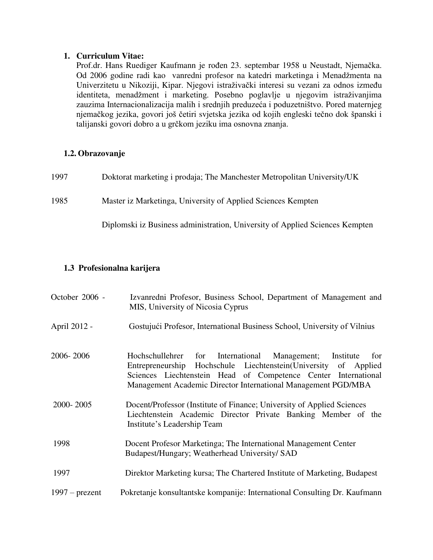#### **1. Curriculum Vitae:**

Prof.dr. Hans Ruediger Kaufmann je rođen 23. septembar 1958 u Neustadt, Njemačka. Od 2006 godine radi kao vanredni profesor na katedri marketinga i Menadžmenta na Univerzitetu u Nikoziji, Kipar. Njegovi istraživački interesi su vezani za odnos između identiteta, menadžment i marketing. Posebno poglavlje u njegovim istraživanjima zauzima Internacionalizacija malih i srednjih preduzeća i poduzetništvo. Pored maternjeg njemačkog jezika, govori još četiri svjetska jezika od kojih engleski tečno dok španski i talijanski govori dobro a u grčkom jeziku ima osnovna znanja.

#### **1.2. Obrazovanje**

| 1997 | Doktorat marketing i prodaja; The Manchester Metropolitan University/UK      |
|------|------------------------------------------------------------------------------|
| 1985 | Master iz Marketinga, University of Applied Sciences Kempten                 |
|      | Diplomski iz Business administration, University of Applied Sciences Kempten |

### **1.3 Profesionalna karijera**

| October 2006 -   | Izvanredni Profesor, Business School, Department of Management and<br>MIS, University of Nicosia Cyprus                                                                                                                                                              |  |  |
|------------------|----------------------------------------------------------------------------------------------------------------------------------------------------------------------------------------------------------------------------------------------------------------------|--|--|
| April 2012 -     | Gostujući Profesor, International Business School, University of Vilnius                                                                                                                                                                                             |  |  |
| 2006-2006        | Hochschullehrer for International Management; Institute<br>for<br>Entrepreneurship Hochschule Liechtenstein(University of Applied<br>Sciences Liechtenstein Head of Competence Center International<br>Management Academic Director International Management PGD/MBA |  |  |
| 2000-2005        | Docent/Professor (Institute of Finance; University of Applied Sciences<br>Liechtenstein Academic Director Private Banking Member of the<br>Institute's Leadership Team                                                                                               |  |  |
| 1998             | Docent Profesor Marketinga; The International Management Center<br>Budapest/Hungary; Weatherhead University/ SAD                                                                                                                                                     |  |  |
| 1997             | Direktor Marketing kursa; The Chartered Institute of Marketing, Budapest                                                                                                                                                                                             |  |  |
| $1997$ – prezent | Pokretanje konsultantske kompanije: International Consulting Dr. Kaufmann                                                                                                                                                                                            |  |  |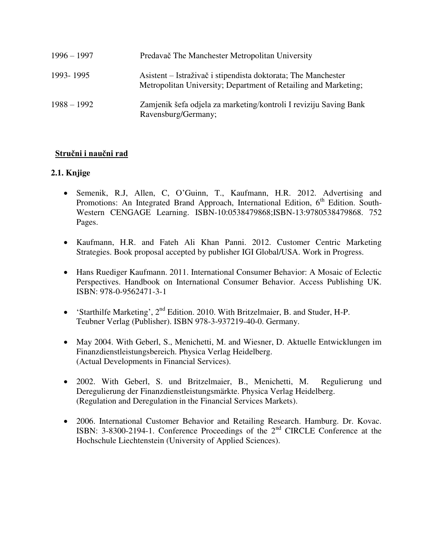| $1996 - 1997$ | Predavač The Manchester Metropolitan University                                                                                  |
|---------------|----------------------------------------------------------------------------------------------------------------------------------|
| 1993-1995     | Asistent – Istraživač i stipendista doktorata; The Manchester<br>Metropolitan University; Department of Retailing and Marketing; |
| $1988 - 1992$ | Zamjenik šefa odjela za marketing/kontroli I reviziju Saving Bank<br>Ravensburg/Germany;                                         |

## **Stručni i naučni rad**

## **2.1. Knjige**

- Semenik, R.J, Allen, C, O'Guinn, T., Kaufmann, H.R. 2012. Advertising and Promotions: An Integrated Brand Approach, International Edition, 6<sup>th</sup> Edition. South-Western CENGAGE Learning. ISBN-10:0538479868;ISBN-13:9780538479868. 752 Pages.
- Kaufmann, H.R. and Fateh Ali Khan Panni. 2012. Customer Centric Marketing Strategies. Book proposal accepted by publisher IGI Global/USA. Work in Progress.
- Hans Ruediger Kaufmann. 2011. International Consumer Behavior: A Mosaic of Eclectic Perspectives. Handbook on International Consumer Behavior. Access Publishing UK. ISBN: 978-0-9562471-3-1
- 'Starthilfe Marketing', 2nd Edition. 2010. With Britzelmaier, B. and Studer, H-P. Teubner Verlag (Publisher). ISBN 978-3-937219-40-0. Germany.
- May 2004. With Geberl, S., Menichetti, M. and Wiesner, D. Aktuelle Entwicklungen im Finanzdienstleistungsbereich. Physica Verlag Heidelberg. (Actual Developments in Financial Services).
- 2002. With Geberl, S. und Britzelmaier, B., Menichetti, M. Regulierung und Deregulierung der Finanzdienstleistungsmärkte. Physica Verlag Heidelberg. (Regulation and Deregulation in the Financial Services Markets).
- 2006. International Customer Behavior and Retailing Research. Hamburg. Dr. Kovac. ISBN: 3-8300-2194-1. Conference Proceedings of the 2nd CIRCLE Conference at the Hochschule Liechtenstein (University of Applied Sciences).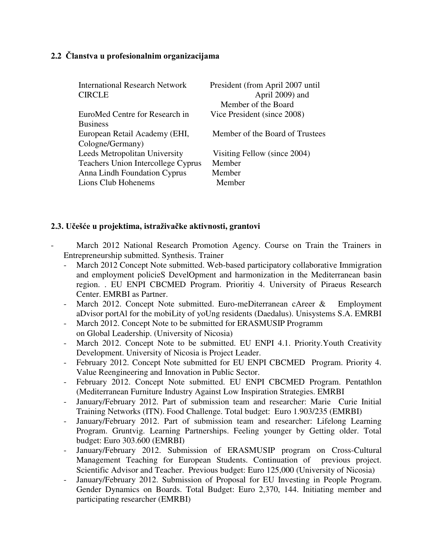### **2.2 Članstva u profesionalnim organizacijama**

| <b>International Research Network</b>     | President (from April 2007 until |
|-------------------------------------------|----------------------------------|
| <b>CIRCLE</b>                             | April 2009) and                  |
|                                           | Member of the Board              |
| EuroMed Centre for Research in            | Vice President (since 2008)      |
| <b>Business</b>                           |                                  |
| European Retail Academy (EHI,             | Member of the Board of Trustees  |
| Cologne/Germany)                          |                                  |
| Leeds Metropolitan University             | Visiting Fellow (since 2004)     |
| <b>Teachers Union Intercollege Cyprus</b> | Member                           |
| Anna Lindh Foundation Cyprus              | Member                           |
| Lions Club Hohenems                       | Member                           |

### **2.3. Učešće u projektima, istraživačke aktivnosti, grantovi**

- March 2012 National Research Promotion Agency. Course on Train the Trainers in Entrepreneurship submitted. Synthesis. Trainer
	- March 2012 Concept Note submitted. Web-based participatory collaborative Immigration and employment policieS DevelOpment and harmonization in the Mediterranean basin region. . EU ENPI CBCMED Program. Prioritiy 4. University of Piraeus Research Center. EMRBI as Partner.
	- March 2012. Concept Note submitted. Euro-meDiterranean cAreer & Employment aDvisor portAl for the mobiLity of yoUng residents (Daedalus). Unisystems S.A. EMRBI
	- March 2012. Concept Note to be submitted for ERASMUSIP Programm on Global Leadership. (University of Nicosia)
	- March 2012. Concept Note to be submitted. EU ENPI 4.1. Priority. Youth Creativity Development. University of Nicosia is Project Leader.
	- February 2012. Concept Note submitted for EU ENPI CBCMED Program. Priority 4. Value Reengineering and Innovation in Public Sector.
	- February 2012. Concept Note submitted. EU ENPI CBCMED Program. Pentathlon (Mediterranean Furniture Industry Against Low Inspiration Strategies. EMRBI
	- January/February 2012. Part of submission team and researcher: Marie Curie Initial Training Networks (ITN). Food Challenge. Total budget: Euro 1.903/235 (EMRBI)
	- January/February 2012. Part of submission team and researcher: Lifelong Learning Program. Gruntvig. Learning Partnerships. Feeling younger by Getting older. Total budget: Euro 303.600 (EMRBI)
	- January/February 2012. Submission of ERASMUSIP program on Cross-Cultural Management Teaching for European Students. Continuation of previous project. Scientific Advisor and Teacher. Previous budget: Euro 125,000 (University of Nicosia)
	- January/February 2012. Submission of Proposal for EU Investing in People Program. Gender Dynamics on Boards. Total Budget: Euro 2,370, 144. Initiating member and participating researcher (EMRBI)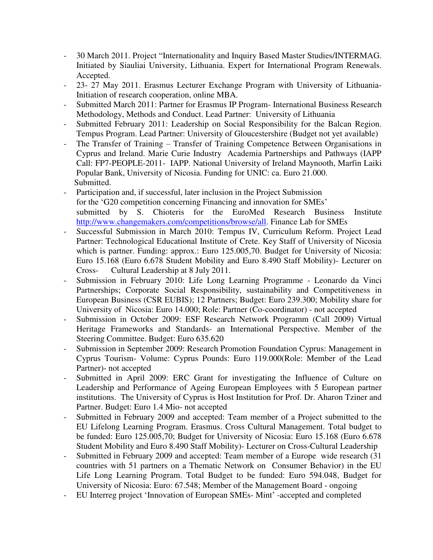- 30 March 2011. Project "Internationality and Inquiry Based Master Studies/INTERMAG. Initiated by Siauliai University, Lithuania. Expert for International Program Renewals. Accepted.
- 23- 27 May 2011. Erasmus Lecturer Exchange Program with University of Lithuania-Initiation of research cooperation, online MBA.
- Submitted March 2011: Partner for Erasmus IP Program- International Business Research Methodology, Methods and Conduct. Lead Partner: University of Lithuania
- Submitted February 2011: Leadership on Social Responsibility for the Balcan Region. Tempus Program. Lead Partner: University of Gloucestershire (Budget not yet available)
- The Transfer of Training Transfer of Training Competence Between Organisations in Cyprus and Ireland. Marie Curie Industry Academia Partnerships and Pathways (IAPP Call: FP7-PEOPLE-2011- IAPP. National University of Ireland Maynooth, Marfin Laiki Popular Bank, University of Nicosia. Funding for UNIC: ca. Euro 21.000. Submitted.
- Participation and, if successful, later inclusion in the Project Submission for the 'G20 competition concerning Financing and innovation for SMEs' submitted by S. Chioteris for the EuroMed Research Business Institute [http://www.changemakers.com/competitions/browse/all.](http://www.changemakers.com/competitions/browse/all) Finance Lab for SMEs
- Successful Submission in March 2010: Tempus IV, Curriculum Reform. Project Lead Partner: Technological Educational Institute of Crete. Key Staff of University of Nicosia which is partner. Funding: approx.: Euro 125.005,70. Budget for University of Nicosia: Euro 15.168 (Euro 6.678 Student Mobility and Euro 8.490 Staff Mobility)- Lecturer on Cross- Cultural Leadership at 8 July 2011.
- Submission in February 2010: Life Long Learning Programme Leonardo da Vinci Partnerships; Corporate Social Responsibility, sustainability and Competitiveness in European Business (CSR EUBIS); 12 Partners; Budget: Euro 239.300; Mobility share for University of Nicosia: Euro 14.000; Role: Partner (Co-coordinator) - not accepted
- Submission in October 2009: ESF Research Network Programm (Call 2009) Virtual Heritage Frameworks and Standards- an International Perspective. Member of the Steering Committee. Budget: Euro 635.620
- Submission in September 2009: Research Promotion Foundation Cyprus: Management in Cyprus Tourism- Volume: Cyprus Pounds: Euro 119.000(Role: Member of the Lead Partner)- not accepted
- Submitted in April 2009: ERC Grant for investigating the Influence of Culture on Leadership and Performance of Ageing European Employees with 5 European partner institutions. The University of Cyprus is Host Institution for Prof. Dr. Aharon Tziner and Partner. Budget: Euro 1.4 Mio- not accepted
- Submitted in February 2009 and accepted: Team member of a Project submitted to the EU Lifelong Learning Program. Erasmus. Cross Cultural Management. Total budget to be funded: Euro 125.005,70; Budget for University of Nicosia: Euro 15.168 (Euro 6.678 Student Mobility and Euro 8.490 Staff Mobility)- Lecturer on Cross-Cultural Leadership
- Submitted in February 2009 and accepted: Team member of a Europe wide research (31) countries with 51 partners on a Thematic Network on Consumer Behavior) in the EU Life Long Learning Program. Total Budget to be funded: Euro 594.048, Budget for University of Nicosia: Euro: 67.548; Member of the Management Board - ongoing
- EU Interreg project 'Innovation of European SMEs- Mint' -accepted and completed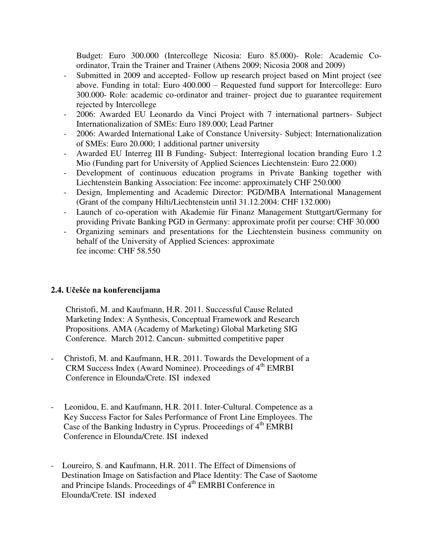Budget: Euro 300.000 (Intercollege Nicosia: Euro 85.000)- Role: Academic Coordinator, Train the Trainer and Trainer (Athens 2009; Nicosia 2008 and 2009)

- Submitted in 2009 and accepted- Follow up research project based on Mint project (see above. Funding in total: Euro 400.000 – Requested fund support for Intercollege: Euro 300.000- Role: academic co-ordinator and trainer- project due to guarantee requirement rejected by Intercollege
- 2006: Awarded EU Leonardo da Vinci Project with 7 international partners- Subject Internationalization of SMEs: Euro 189.000; Lead Partner
- 2006: Awarded International Lake of Constance University- Subject: Internationalization of SMEs: Euro 20.000; 1 additional partner university
- Awarded EU Interreg III B Funding- Subject: Interregional location branding Euro 1.2 Mio (Funding part for University of Applied Sciences Liechtenstein: Euro 22.000)
- Development of continuous education programs in Private Banking together with Liechtenstein Banking Association: Fee income: approximately CHF 250.000
- Design, Implementing and Academic Director: PGD/MBA International Management (Grant of the company Hilti/Liechtenstein until 31.12.2004: CHF 132.000)
- Launch of co-operation with Akademie für Finanz Management Stuttgart/Germany for providing Private Banking PGD in Germany: approximate profit per course: CHF 30.000
- Organizing seminars and presentations for the Liechtenstein business community on behalf of the University of Applied Sciences: approximate fee income: CHF 58.550

### **2.4. Učešće na konferencijama**

Christofi, M. and Kaufmann, H.R. 2011. Successful Cause Related Marketing Index: A Synthesis, Conceptual Framework and Research Propositions. AMA (Academy of Marketing) Global Marketing SIG Conference. March 2012. Cancun- submitted competitive paper

- Christofi, M. and Kaufmann, H.R. 2011. Towards the Development of a CRM Success Index (Award Nominee). Proceedings of 4<sup>th</sup> EMRBI Conference in Elounda/Crete. ISI indexed
- Leonidou, E. and Kaufmann, H.R. 2011. Inter-Cultural. Competence as a Key Success Factor for Sales Performance of Front Line Employees. The Case of the Banking Industry in Cyprus. Proceedings of 4<sup>th</sup> EMRBI Conference in Elounda/Crete. ISI indexed
- Loureiro, S. and Kaufmann, H.R. 2011. The Effect of Dimensions of Destination Image on Satisfaction and Place Identity: The Case of Saotome and Principe Islands. Proceedings of 4<sup>th</sup> EMRBI Conference in Elounda/Crete. ISI indexed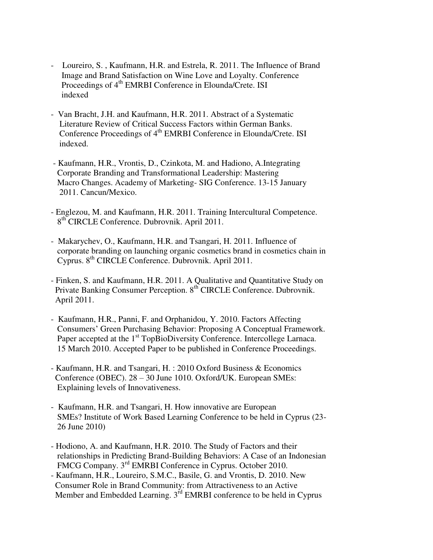- Loureiro, S., Kaufmann, H.R. and Estrela, R. 2011. The Influence of Brand Image and Brand Satisfaction on Wine Love and Loyalty. Conference Proceedings of 4<sup>th</sup> EMRBI Conference in Elounda/Crete. ISI indexed
- Van Bracht, J.H. and Kaufmann, H.R. 2011. Abstract of a Systematic Literature Review of Critical Success Factors within German Banks. Conference Proceedings of 4<sup>th</sup> EMRBI Conference in Elounda/Crete. ISI indexed.
- Kaufmann, H.R., Vrontis, D., Czinkota, M. and Hadiono, A.Integrating Corporate Branding and Transformational Leadership: Mastering Macro Changes. Academy of Marketing- SIG Conference. 13-15 January 2011. Cancun/Mexico.
- Englezou, M. and Kaufmann, H.R. 2011. Training Intercultural Competence. 8<sup>th</sup> CIRCLE Conference. Dubrovnik. April 2011.
- Makarychev, O., Kaufmann, H.R. and Tsangari, H. 2011. Influence of corporate branding on launching organic cosmetics brand in cosmetics chain in Cyprus. 8th CIRCLE Conference. Dubrovnik. April 2011.
- Finken, S. and Kaufmann, H.R. 2011. A Qualitative and Quantitative Study on Private Banking Consumer Perception. 8<sup>th</sup> CIRCLE Conference. Dubrovnik. April 2011.
- Kaufmann, H.R., Panni, F. and Orphanidou, Y. 2010. Factors Affecting Consumers' Green Purchasing Behavior: Proposing A Conceptual Framework. Paper accepted at the 1<sup>st</sup> TopBioDiversity Conference. Intercollege Larnaca. 15 March 2010. Accepted Paper to be published in Conference Proceedings.
- Kaufmann, H.R. and Tsangari, H. : 2010 Oxford Business & Economics Conference (OBEC). 28 – 30 June 1010. Oxford/UK. European SMEs: Explaining levels of Innovativeness.
- Kaufmann, H.R. and Tsangari, H. How innovative are European SMEs? Institute of Work Based Learning Conference to be held in Cyprus (23- 26 June 2010)
- Hodiono, A. and Kaufmann, H.R. 2010. The Study of Factors and their relationships in Predicting Brand-Building Behaviors: A Case of an Indonesian FMCG Company. 3<sup>rd</sup> EMRBI Conference in Cyprus. October 2010.
- Kaufmann, H.R., Loureiro, S.M.C., Basile, G. and Vrontis, D. 2010. New Consumer Role in Brand Community: from Attractiveness to an Active Member and Embedded Learning. 3<sup>rd</sup> EMRBI conference to be held in Cyprus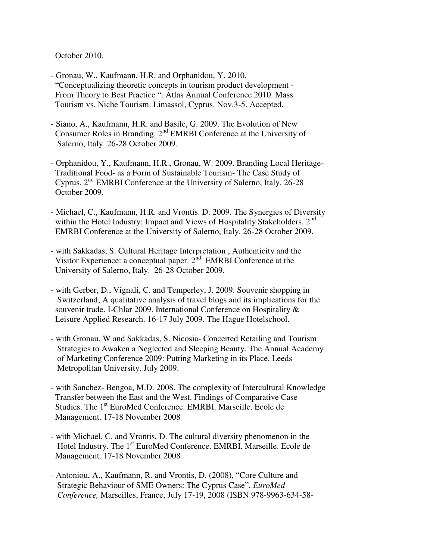October 2010.

- Gronau, W., Kaufmann, H.R. and Orphanidou, Y. 2010. "Conceptualizing theoretic concepts in tourism product development - From Theory to Best Practice ". Atlas Annual Conference 2010. Mass Tourism vs. Niche Tourism. Limassol, Cyprus. Nov.3-5. Accepted.
- Siano, A., Kaufmann, H.R. and Basile, G. 2009. The Evolution of New Consumer Roles in Branding. 2<sup>nd</sup> EMRBI Conference at the University of Salerno, Italy. 26-28 October 2009.
- Orphanidou, Y., Kaufmann, H.R., Gronau, W. 2009. Branding Local Heritage- Traditional Food- as a Form of Sustainable Tourism- The Case Study of Cyprus. 2nd EMRBI Conference at the University of Salerno, Italy. 26-28 October 2009.
- Michael, C., Kaufmann, H.R. and Vrontis. D. 2009. The Synergies of Diversity within the Hotel Industry: Impact and Views of Hospitality Stakeholders. 2<sup>nd</sup> EMRBI Conference at the University of Salerno, Italy. 26-28 October 2009.
- with Sakkadas, S. Cultural Heritage Interpretation , Authenticity and the Visitor Experience: a conceptual paper. 2<sup>nd</sup> EMRBI Conference at the University of Salerno, Italy. 26-28 October 2009.
- with Gerber, D., Vignali, C. and Temperley, J. 2009. Souvenir shopping in Switzerland; A qualitative analysis of travel blogs and its implications for the souvenir trade. I-Chlar 2009. International Conference on Hospitality & Leisure Applied Research. 16-17 July 2009. The Hague Hotelschool.
- with Gronau, W and Sakkadas, S. Nicosia- Concerted Retailing and Tourism Strategies to Awaken a Neglected and Sleeping Beauty. The Annual Academy of Marketing Conference 2009: Putting Marketing in its Place. Leeds Metropolitan University. July 2009.
- with Sanchez- Bengoa, M.D. 2008. The complexity of Intercultural Knowledge Transfer between the East and the West. Findings of Comparative Case Studies. The 1st EuroMed Conference. EMRBI. Marseille. Ecole de Management. 17-18 November 2008
- with Michael, C. and Vrontis, D. The cultural diversity phenomenon in the Hotel Industry. The 1<sup>st</sup> EuroMed Conference. EMRBI. Marseille. Ecole de Management. 17-18 November 2008
- Antoniou, A., Kaufmann, R. and Vrontis, D. (2008), "Core Culture and Strategic Behaviour of SME Owners: The Cyprus Case", *EuroMed Conference,* Marseilles, France, July 17-19, 2008 (ISBN 978-9963-634-58-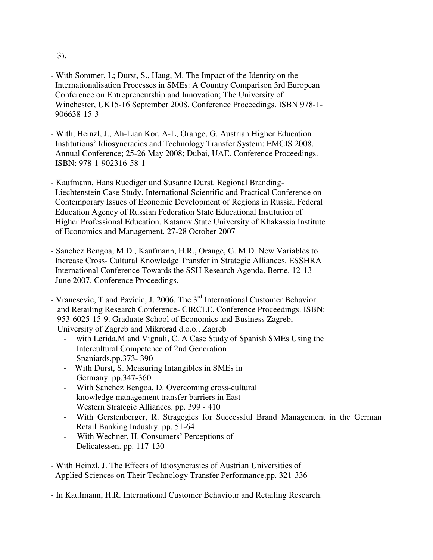3).

- With Sommer, L; Durst, S., Haug, M. The Impact of the Identity on the Internationalisation Processes in SMEs: A Country Comparison 3rd European Conference on Entrepreneurship and Innovation; The University of Winchester, UK15-16 September 2008. Conference Proceedings. ISBN 978-1- 906638-15-3
- With, Heinzl, J., Ah-Lian Kor, A-L; Orange, G. Austrian Higher Education Institutions' Idiosyncracies and Technology Transfer System; EMCIS 2008, Annual Conference; 25-26 May 2008; Dubai, UAE. Conference Proceedings. ISBN: 978-1-902316-58-1
- Kaufmann, Hans Ruediger und Susanne Durst. Regional Branding- Liechtenstein Case Study. International Scientific and Practical Conference on Contemporary Issues of Economic Development of Regions in Russia. Federal Education Agency of Russian Federation State Educational Institution of Higher Professional Education. Katanov State University of Khakassia Institute of Economics and Management. 27-28 October 2007
- Sanchez Bengoa, M.D., Kaufmann, H.R., Orange, G. M.D. New Variables to Increase Cross- Cultural Knowledge Transfer in Strategic Alliances. ESSHRA International Conference Towards the SSH Research Agenda. Berne. 12-13 June 2007. Conference Proceedings.
- Vranesevic, T and Pavicic, J. 2006. The 3<sup>rd</sup> International Customer Behavior and Retailing Research Conference- CIRCLE. Conference Proceedings. ISBN: 953-6025-15-9. Graduate School of Economics and Business Zagreb, University of Zagreb and Mikrorad d.o.o., Zagreb
	- with Lerida,M and Vignali, C. A Case Study of Spanish SMEs Using the Intercultural Competence of 2nd Generation Spaniards.pp.373- 390
	- With Durst, S. Measuring Intangibles in SMEs in Germany. pp.347-360
	- With Sanchez Bengoa, D. Overcoming cross-cultural knowledge management transfer barriers in East- Western Strategic Alliances. pp. 399 - 410
	- With Gerstenberger, R. Stragegies for Successful Brand Management in the German Retail Banking Industry. pp. 51-64
	- With Wechner, H. Consumers' Perceptions of Delicatessen. pp. 117-130
- With Heinzl, J. The Effects of Idiosyncrasies of Austrian Universities of Applied Sciences on Their Technology Transfer Performance.pp. 321-336

- In Kaufmann, H.R. International Customer Behaviour and Retailing Research.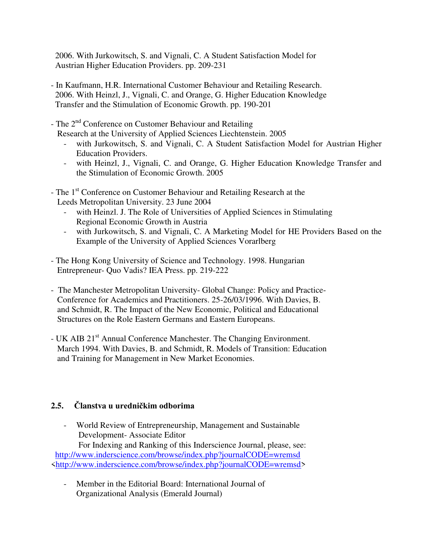2006. With Jurkowitsch, S. and Vignali, C. A Student Satisfaction Model for Austrian Higher Education Providers. pp. 209-231

- In Kaufmann, H.R. International Customer Behaviour and Retailing Research. 2006. With Heinzl, J., Vignali, C. and Orange, G. Higher Education Knowledge Transfer and the Stimulation of Economic Growth. pp. 190-201
- The 2<sup>nd</sup> Conference on Customer Behaviour and Retailing Research at the University of Applied Sciences Liechtenstein. 2005
	- with Jurkowitsch, S. and Vignali, C. A Student Satisfaction Model for Austrian Higher Education Providers.
	- with Heinzl, J., Vignali, C. and Orange, G. Higher Education Knowledge Transfer and the Stimulation of Economic Growth. 2005
- The 1<sup>st</sup> Conference on Customer Behaviour and Retailing Research at the Leeds Metropolitan University. 23 June 2004
	- with Heinzl. J. The Role of Universities of Applied Sciences in Stimulating Regional Economic Growth in Austria
	- with Jurkowitsch, S. and Vignali, C. A Marketing Model for HE Providers Based on the Example of the University of Applied Sciences Vorarlberg
- The Hong Kong University of Science and Technology. 1998. Hungarian Entrepreneur- Quo Vadis? IEA Press. pp. 219-222
- The Manchester Metropolitan University- Global Change: Policy and Practice- Conference for Academics and Practitioners. 25-26/03/1996. With Davies, B. and Schmidt, R. The Impact of the New Economic, Political and Educational Structures on the Role Eastern Germans and Eastern Europeans.
- UK AIB 21<sup>st</sup> Annual Conference Manchester. The Changing Environment. March 1994. With Davies, B. and Schmidt, R. Models of Transition: Education and Training for Management in New Market Economies.

# **2.5. Članstva u uredničkim odborima**

- World Review of Entrepreneurship, Management and Sustainable Development- Associate Editor

 For Indexing and Ranking of this Inderscience Journal, please, see: <http://www.inderscience.com/browse/index.php?journalCODE=wremsd> [<http://www.inderscience.com/browse/index.php?journalCODE=wremsd>](http://www.inderscience.com/browse/index.php?journalCODE=wremsd)

- Member in the Editorial Board: International Journal of Organizational Analysis (Emerald Journal)